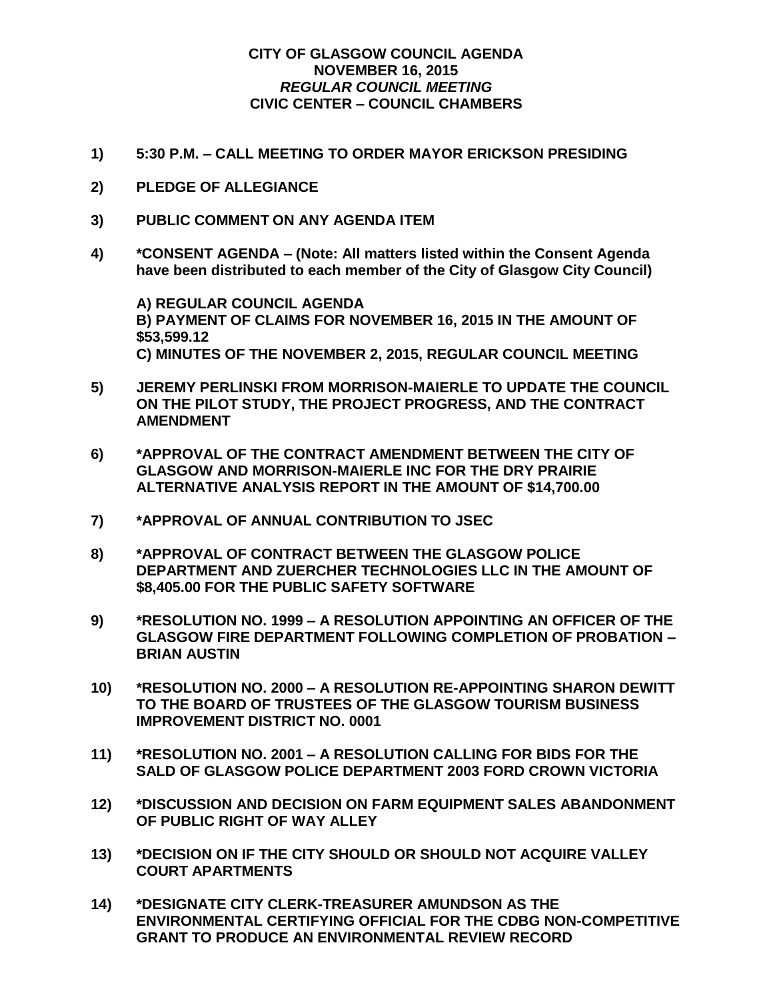## **CITY OF GLASGOW COUNCIL AGENDA NOVEMBER 16, 2015** *REGULAR COUNCIL MEETING* **CIVIC CENTER – COUNCIL CHAMBERS**

- **1) 5:30 P.M. – CALL MEETING TO ORDER MAYOR ERICKSON PRESIDING**
- **2) PLEDGE OF ALLEGIANCE**
- **3) PUBLIC COMMENT ON ANY AGENDA ITEM**
- **4) \*CONSENT AGENDA – (Note: All matters listed within the Consent Agenda have been distributed to each member of the City of Glasgow City Council)**

**A) REGULAR COUNCIL AGENDA B) PAYMENT OF CLAIMS FOR NOVEMBER 16, 2015 IN THE AMOUNT OF \$53,599.12 C) MINUTES OF THE NOVEMBER 2, 2015, REGULAR COUNCIL MEETING**

- **5) JEREMY PERLINSKI FROM MORRISON-MAIERLE TO UPDATE THE COUNCIL ON THE PILOT STUDY, THE PROJECT PROGRESS, AND THE CONTRACT AMENDMENT**
- **6) \*APPROVAL OF THE CONTRACT AMENDMENT BETWEEN THE CITY OF GLASGOW AND MORRISON-MAIERLE INC FOR THE DRY PRAIRIE ALTERNATIVE ANALYSIS REPORT IN THE AMOUNT OF \$14,700.00**
- **7) \*APPROVAL OF ANNUAL CONTRIBUTION TO JSEC**
- **8) \*APPROVAL OF CONTRACT BETWEEN THE GLASGOW POLICE DEPARTMENT AND ZUERCHER TECHNOLOGIES LLC IN THE AMOUNT OF \$8,405.00 FOR THE PUBLIC SAFETY SOFTWARE**
- **9) \*RESOLUTION NO. 1999 – A RESOLUTION APPOINTING AN OFFICER OF THE GLASGOW FIRE DEPARTMENT FOLLOWING COMPLETION OF PROBATION – BRIAN AUSTIN**
- **10) \*RESOLUTION NO. 2000 – A RESOLUTION RE-APPOINTING SHARON DEWITT TO THE BOARD OF TRUSTEES OF THE GLASGOW TOURISM BUSINESS IMPROVEMENT DISTRICT NO. 0001**
- **11) \*RESOLUTION NO. 2001 – A RESOLUTION CALLING FOR BIDS FOR THE SALD OF GLASGOW POLICE DEPARTMENT 2003 FORD CROWN VICTORIA**
- **12) \*DISCUSSION AND DECISION ON FARM EQUIPMENT SALES ABANDONMENT OF PUBLIC RIGHT OF WAY ALLEY**
- **13) \*DECISION ON IF THE CITY SHOULD OR SHOULD NOT ACQUIRE VALLEY COURT APARTMENTS**
- **14) \*DESIGNATE CITY CLERK-TREASURER AMUNDSON AS THE ENVIRONMENTAL CERTIFYING OFFICIAL FOR THE CDBG NON-COMPETITIVE GRANT TO PRODUCE AN ENVIRONMENTAL REVIEW RECORD**